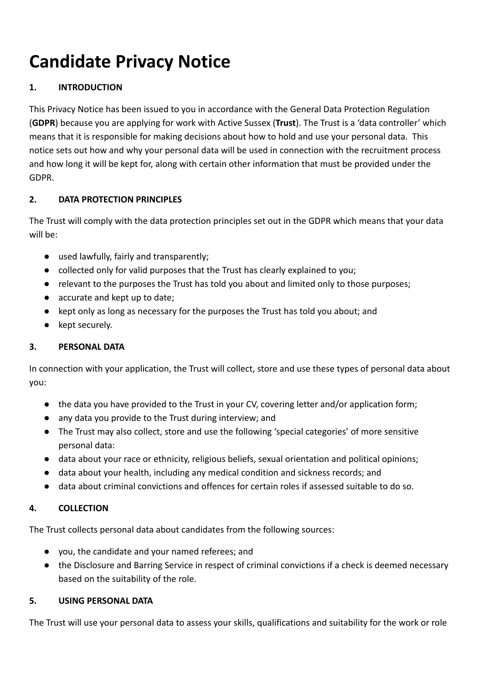# **Candidate Privacy Notice**

# **1. INTRODUCTION**

This Privacy Notice has been issued to you in accordance with the General Data Protection Regulation (**GDPR**) because you are applying for work with Active Sussex (**Trust**). The Trust is a 'data controller' which means that it is responsible for making decisions about how to hold and use your personal data. This notice sets out how and why your personal data will be used in connection with the recruitment process and how long it will be kept for, along with certain other information that must be provided under the GDPR.

# **2. DATA PROTECTION PRINCIPLES**

The Trust will comply with the data protection principles set out in the GDPR which means that your data will be:

- used lawfully, fairly and transparently;
- collected only for valid purposes that the Trust has clearly explained to you;
- relevant to the purposes the Trust has told you about and limited only to those purposes;
- accurate and kept up to date;
- kept only as long as necessary for the purposes the Trust has told you about; and
- kept securely.

# **3. PERSONAL DATA**

In connection with your application, the Trust will collect, store and use these types of personal data about you:

- the data you have provided to the Trust in your CV, covering letter and/or application form;
- any data you provide to the Trust during interview; and
- The Trust may also collect, store and use the following 'special categories' of more sensitive personal data:
- data about your race or ethnicity, religious beliefs, sexual orientation and political opinions;
- data about your health, including any medical condition and sickness records; and
- data about criminal convictions and offences for certain roles if assessed suitable to do so.

# **4. COLLECTION**

The Trust collects personal data about candidates from the following sources:

- you, the candidate and your named referees; and
- the Disclosure and Barring Service in respect of criminal convictions if a check is deemed necessary based on the suitability of the role.

# **5. USING PERSONAL DATA**

The Trust will use your personal data to assess your skills, qualifications and suitability for the work or role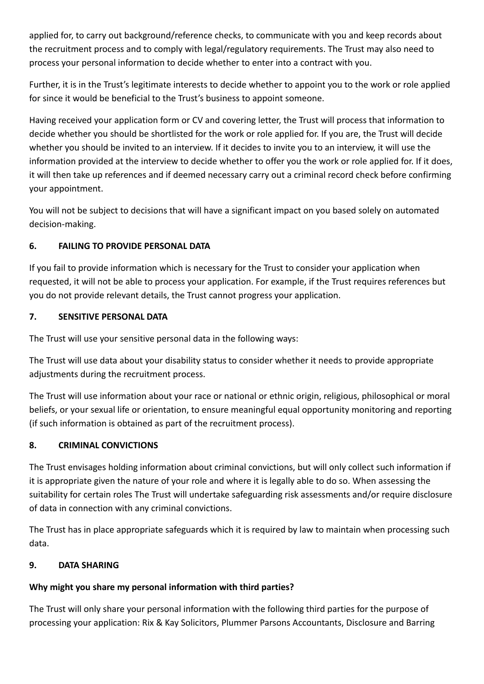applied for, to carry out background/reference checks, to communicate with you and keep records about the recruitment process and to comply with legal/regulatory requirements. The Trust may also need to process your personal information to decide whether to enter into a contract with you.

Further, it is in the Trust's legitimate interests to decide whether to appoint you to the work or role applied for since it would be beneficial to the Trust's business to appoint someone.

Having received your application form or CV and covering letter, the Trust will process that information to decide whether you should be shortlisted for the work or role applied for. If you are, the Trust will decide whether you should be invited to an interview. If it decides to invite you to an interview, it will use the information provided at the interview to decide whether to offer you the work or role applied for. If it does, it will then take up references and if deemed necessary carry out a criminal record check before confirming your appointment.

You will not be subject to decisions that will have a significant impact on you based solely on automated decision-making.

# **6. FAILING TO PROVIDE PERSONAL DATA**

If you fail to provide information which is necessary for the Trust to consider your application when requested, it will not be able to process your application. For example, if the Trust requires references but you do not provide relevant details, the Trust cannot progress your application.

# **7. SENSITIVE PERSONAL DATA**

The Trust will use your sensitive personal data in the following ways:

The Trust will use data about your disability status to consider whether it needs to provide appropriate adjustments during the recruitment process.

The Trust will use information about your race or national or ethnic origin, religious, philosophical or moral beliefs, or your sexual life or orientation, to ensure meaningful equal opportunity monitoring and reporting (if such information is obtained as part of the recruitment process).

# **8. CRIMINAL CONVICTIONS**

The Trust envisages holding information about criminal convictions, but will only collect such information if it is appropriate given the nature of your role and where it is legally able to do so. When assessing the suitability for certain roles The Trust will undertake safeguarding risk assessments and/or require disclosure of data in connection with any criminal convictions.

The Trust has in place appropriate safeguards which it is required by law to maintain when processing such data.

# **9. DATA SHARING**

# **Why might you share my personal information with third parties?**

The Trust will only share your personal information with the following third parties for the purpose of processing your application: Rix & Kay Solicitors, Plummer Parsons Accountants, Disclosure and Barring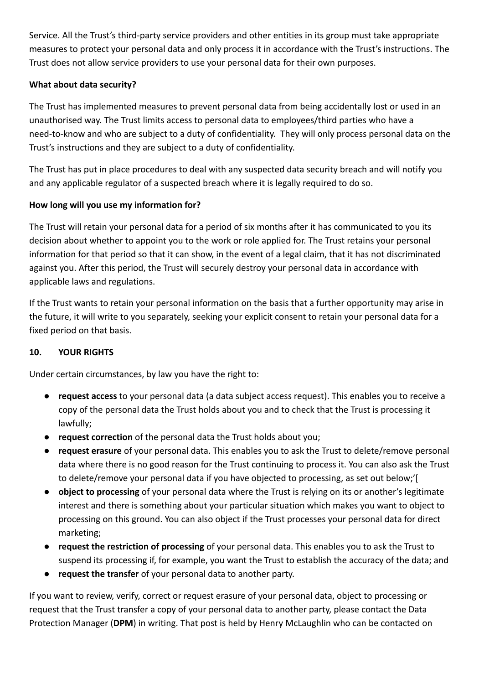Service. All the Trust's third-party service providers and other entities in its group must take appropriate measures to protect your personal data and only process it in accordance with the Trust's instructions. The Trust does not allow service providers to use your personal data for their own purposes.

# **What about data security?**

The Trust has implemented measures to prevent personal data from being accidentally lost or used in an unauthorised way. The Trust limits access to personal data to employees/third parties who have a need-to-know and who are subject to a duty of confidentiality. They will only process personal data on the Trust's instructions and they are subject to a duty of confidentiality.

The Trust has put in place procedures to deal with any suspected data security breach and will notify you and any applicable regulator of a suspected breach where it is legally required to do so.

# **How long will you use my information for?**

The Trust will retain your personal data for a period of six months after it has communicated to you its decision about whether to appoint you to the work or role applied for. The Trust retains your personal information for that period so that it can show, in the event of a legal claim, that it has not discriminated against you. After this period, the Trust will securely destroy your personal data in accordance with applicable laws and regulations.

If the Trust wants to retain your personal information on the basis that a further opportunity may arise in the future, it will write to you separately, seeking your explicit consent to retain your personal data for a fixed period on that basis.

# **10. YOUR RIGHTS**

Under certain circumstances, by law you have the right to:

- **request access** to your personal data (a data subject access request). This enables you to receive a copy of the personal data the Trust holds about you and to check that the Trust is processing it lawfully;
- **request correction** of the personal data the Trust holds about you;
- **request erasure** of your personal data. This enables you to ask the Trust to delete/remove personal data where there is no good reason for the Trust continuing to process it. You can also ask the Trust to delete/remove your personal data if you have objected to processing, as set out below;'[
- **object to processing** of your personal data where the Trust is relying on its or another's legitimate interest and there is something about your particular situation which makes you want to object to processing on this ground. You can also object if the Trust processes your personal data for direct marketing;
- **request the restriction of processing** of your personal data. This enables you to ask the Trust to suspend its processing if, for example, you want the Trust to establish the accuracy of the data; and
- **request the transfer** of your personal data to another party.

If you want to review, verify, correct or request erasure of your personal data, object to processing or request that the Trust transfer a copy of your personal data to another party, please contact the Data Protection Manager (**DPM**) in writing. That post is held by Henry McLaughlin who can be contacted on